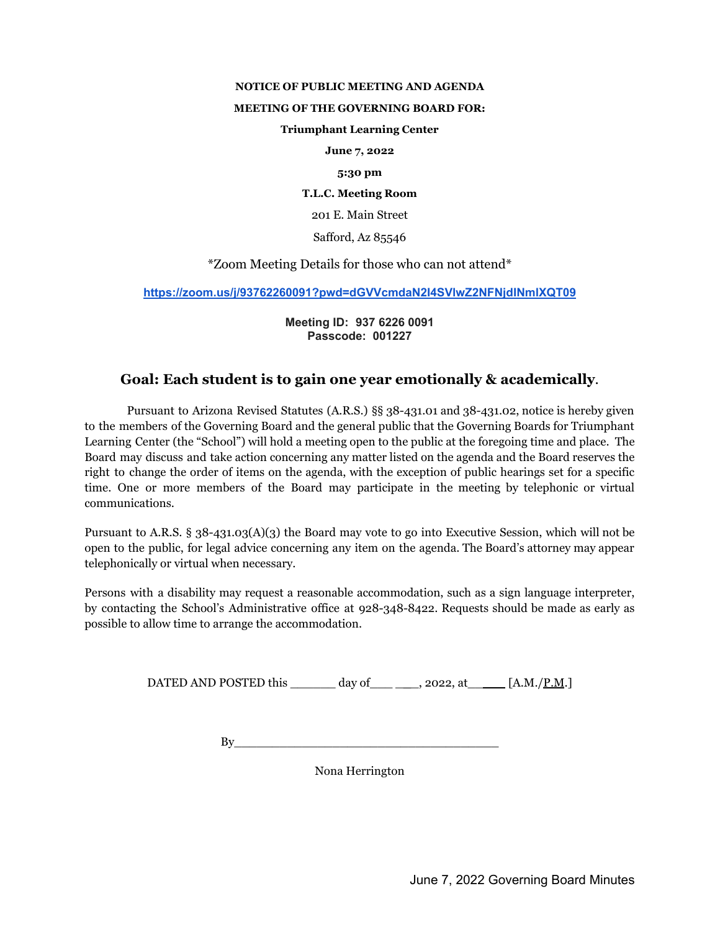#### **NOTICE OF PUBLIC MEETING AND AGENDA**

#### **MEETING OF THE GOVERNING BOARD FOR:**

### **Triumphant Learning Center**

**June 7, 2022**

#### **5:30 pm**

**T.L.C. Meeting Room**

201 E. Main Street

Safford, Az 85546

\*Zoom Meeting Details for those who can not attend\*

**<https://zoom.us/j/93762260091?pwd=dGVVcmdaN2I4SVlwZ2NFNjdINmlXQT09>**

**Meeting ID: 937 6226 0091 Passcode: 001227**

# **Goal: Each student is to gain one year emotionally & academically**.

Pursuant to Arizona Revised Statutes (A.R.S.) §§ 38-431.01 and 38-431.02, notice is hereby given to the members of the Governing Board and the general public that the Governing Boards for Triumphant Learning Center (the "School") will hold a meeting open to the public at the foregoing time and place. The Board may discuss and take action concerning any matter listed on the agenda and the Board reserves the right to change the order of items on the agenda, with the exception of public hearings set for a specific time. One or more members of the Board may participate in the meeting by telephonic or virtual communications.

Pursuant to A.R.S. § 38-431.03(A)(3) the Board may vote to go into Executive Session, which will not be open to the public, for legal advice concerning any item on the agenda. The Board's attorney may appear telephonically or virtual when necessary.

Persons with a disability may request a reasonable accommodation, such as a sign language interpreter, by contacting the School's Administrative office at 928-348-8422. Requests should be made as early as possible to allow time to arrange the accommodation.

DATED AND POSTED this  $\frac{day \text{ of}}{y}$ , 2022, at  $\frac{[A.M]/P.M.]}{y}$ 

 $\mathop{\rm By}\nolimits$ 

Nona Herrington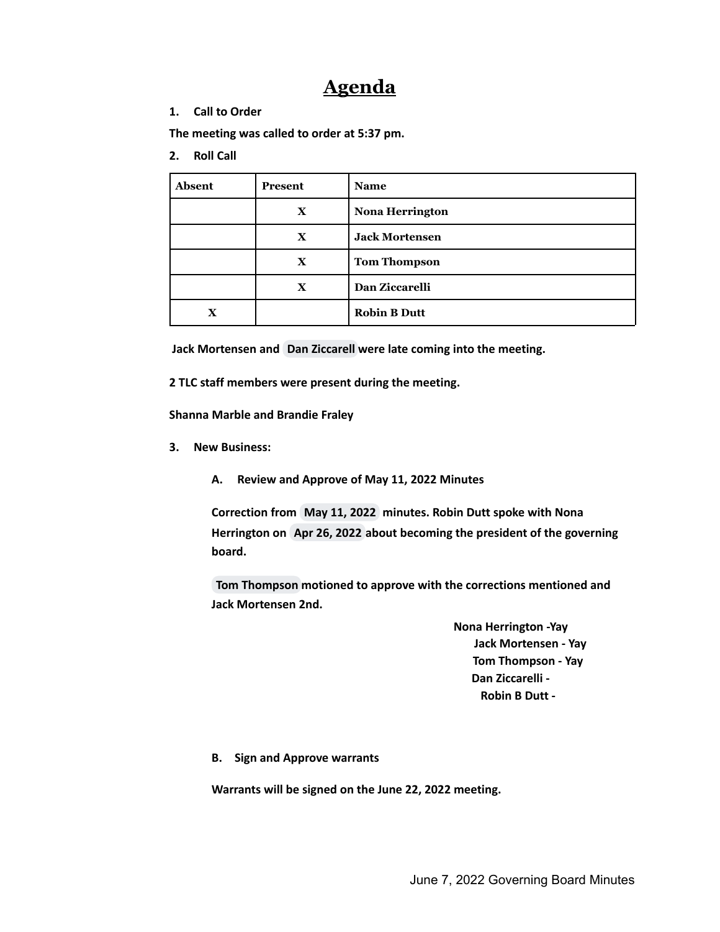# **Agenda**

## **1. Call to Order**

**The meeting was called to order at 5:37 pm.**

**2. Roll Call**

| <b>Absent</b> | Present      | <b>Name</b>            |
|---------------|--------------|------------------------|
|               | $\mathbf x$  | <b>Nona Herrington</b> |
|               | $\mathbf x$  | <b>Jack Mortensen</b>  |
|               | $\mathbf{X}$ | <b>Tom Thompson</b>    |
|               | $\mathbf x$  | Dan Ziccarelli         |
|               |              | <b>Robin B Dutt</b>    |

**Jack Mortensen and Dan [Ziccarell](mailto:dzfhl@hotmail.com) were late coming into the meeting.**

**2 TLC staff members were present during the meeting.**

**Shanna Marble and Brandie Fraley**

**3. New Business:**

**A. Review and Approve of May 11, 2022 Minutes**

**Correction from May 11, 2022 minutes. Robin Dutt spoke with Nona Herrington on Apr 26, 2022 about becoming the president of the governing board.**

**Tom [Thompson](mailto:thomas.thompson@eac.edu) motioned to approve with the corrections mentioned and Jack Mortensen 2nd.**

> **Nona Herrington -Yay Jack Mortensen - Yay Tom Thompson - Yay Dan Ziccarelli - Robin B Dutt -**

## **B. Sign and Approve warrants**

**Warrants will be signed on the June 22, 2022 meeting.**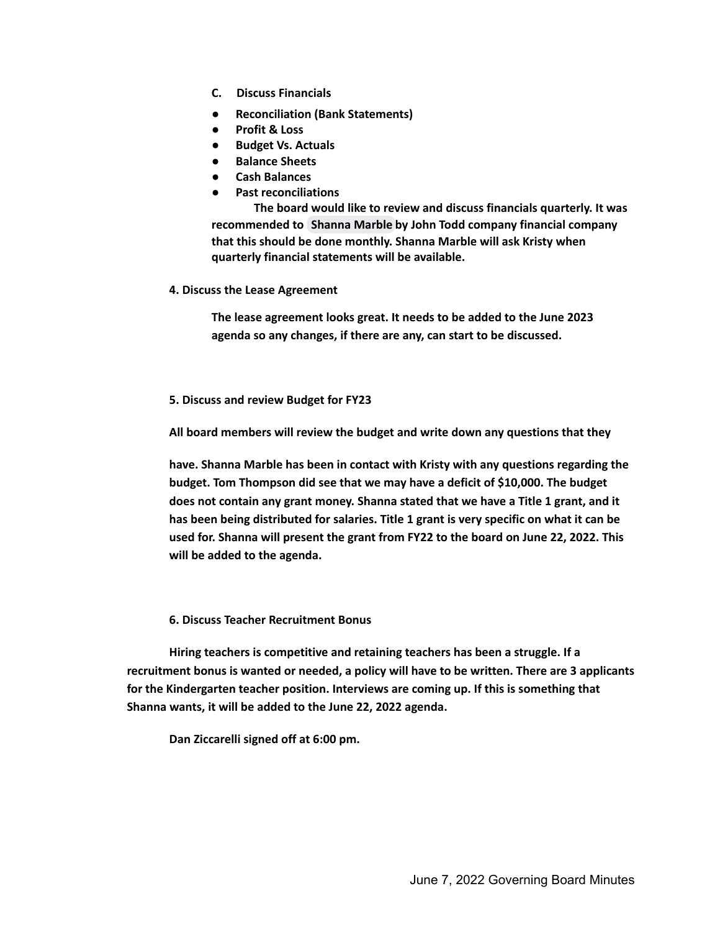- **C. Discuss Financials**
- **Reconciliation (Bank Statements)**
- **Profit & Loss**
- **Budget Vs. Actuals**
- **Balance Sheets**
- **Cash Balances**
- **Past reconciliations**

**The board would like to review and discuss financials quarterly. It was recommended to [Shanna](mailto:smarbletlc@gmail.com) Marble by John Todd company financial company that this should be done monthly. Shanna Marble will ask Kristy when quarterly financial statements will be available.**

**4. Discuss the Lease Agreement**

**The lease agreement looks great. It needs to be added to the June 2023 agenda so any changes, if there are any, can start to be discussed.**

**5. Discuss and review Budget for FY23**

**All board members will review the budget and write down any questions that they**

**have. Shanna Marble has been in contact with Kristy with any questions regarding the budget. Tom Thompson did see that we may have a deficit of \$10,000. The budget does not contain any grant money. Shanna stated that we have a Title 1 grant, and it has been being distributed for salaries. Title 1 grant is very specific on what it can be used for. Shanna will present the grant from FY22 to the board on June 22, 2022. This will be added to the agenda.**

**6. Discuss Teacher Recruitment Bonus**

**Hiring teachers is competitive and retaining teachers has been a struggle. If a recruitment bonus is wanted or needed, a policy will have to be written. There are 3 applicants for the Kindergarten teacher position. Interviews are coming up. If this is something that Shanna wants, it will be added to the June 22, 2022 agenda.**

**Dan Ziccarelli signed off at 6:00 pm.**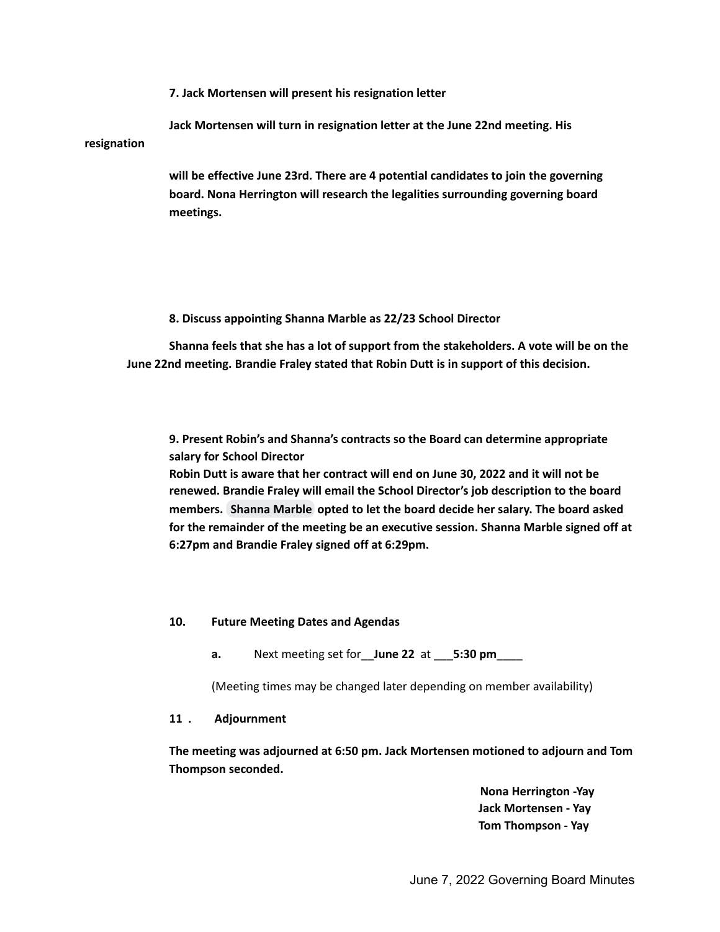**7. Jack Mortensen will present his resignation letter**

**Jack Mortensen will turn in resignation letter at the June 22nd meeting. His resignation**

> **will be effective June 23rd. There are 4 potential candidates to join the governing board. Nona Herrington will research the legalities surrounding governing board meetings.**

## **8. Discuss appointing Shanna Marble as 22/23 School Director**

**Shanna feels that she has a lot of support from the stakeholders. A vote will be on the June 22nd meeting. Brandie Fraley stated that Robin Dutt is in support of this decision.**

**9. Present Robin's and Shanna's contracts so the Board can determine appropriate salary for School Director**

**Robin Dutt is aware that her contract will end on June 30, 2022 and it will not be renewed. Brandie Fraley will email the School Director's job description to the board members. [Shanna](mailto:smarbletlc@gmail.com) Marble opted to let the board decide her salary. The board asked for the remainder of the meeting be an executive session. Shanna Marble signed off at 6:27pm and Brandie Fraley signed off at 6:29pm.**

# **10. Future Meeting Dates and Agendas**

**a.** Next meeting set for\_\_**June 22** at \_\_\_**5:30 pm**\_\_\_\_

(Meeting times may be changed later depending on member availability)

## **11 . Adjournment**

**The meeting was adjourned at 6:50 pm. Jack Mortensen motioned to adjourn and Tom Thompson seconded.**

> **Nona Herrington -Yay Jack Mortensen - Yay Tom Thompson - Yay**